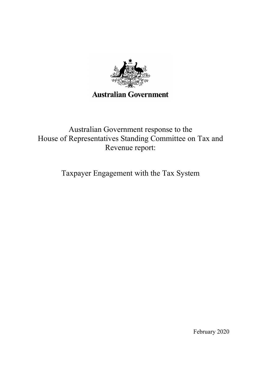

Australian Government response to the House of Representatives Standing Committee on Tax and Revenue report:

Taxpayer Engagement with the Tax System

February 2020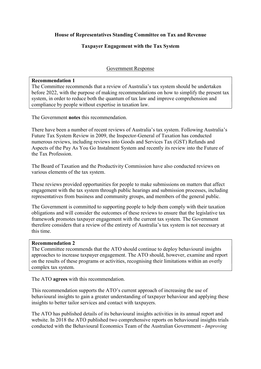# House of Representatives Standing Committee on Tax and Revenue

# Taxpayer Engagement with the Tax System

# Government Response

### Recommendation 1

The Committee recommends that a review of Australia's tax system should be undertaken before 2022, with the purpose of making recommendations on how to simplify the present tax system, in order to reduce both the quantum of tax law and improve comprehension and compliance by people without expertise in taxation law.

The Government notes this recommendation.

There have been a number of recent reviews of Australia's tax system. Following Australia's Future Tax System Review in 2009, the Inspector-General of Taxation has conducted numerous reviews, including reviews into Goods and Services Tax (GST) Refunds and Aspects of the Pay As You Go Instalment System and recently its review into the Future of the Tax Profession.

The Board of Taxation and the Productivity Commission have also conducted reviews on various elements of the tax system.

These reviews provided opportunities for people to make submissions on matters that affect engagement with the tax system through public hearings and submission processes, including representatives from business and community groups, and members of the general public.

The Government is committed to supporting people to help them comply with their taxation obligations and will consider the outcomes of these reviews to ensure that the legislative tax framework promotes taxpayer engagement with the current tax system. The Government therefore considers that a review of the entirety of Australia's tax system is not necessary at this time.

### Recommendation 2

The Committee recommends that the ATO should continue to deploy behavioural insights approaches to increase taxpayer engagement. The ATO should, however, examine and report on the results of these programs or activities, recognising their limitations within an overly complex tax system.

The ATO agrees with this recommendation.

This recommendation supports the ATO's current approach of increasing the use of behavioural insights to gain a greater understanding of taxpayer behaviour and applying these insights to better tailor services and contact with taxpayers.

The ATO has published details of its behavioural insights activities in its annual report and website. In 2018 the ATO published two comprehensive reports on behavioural insights trials conducted with the Behavioural Economics Team of the Australian Government - Improving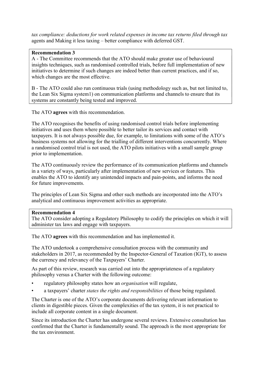tax compliance: deductions for work related expenses in income tax returns filed through tax agents and Making it less taxing – better compliance with deferred GST.

## Recommendation 3

A - The Committee recommends that the ATO should make greater use of behavioural insights techniques, such as randomised controlled trials, before full implementation of new initiatives to determine if such changes are indeed better than current practices, and if so, which changes are the most effective.

B - The ATO could also run continuous trials (using methodology such as, but not limited to, the Lean Six Sigma system1) on communication platforms and channels to ensure that its systems are constantly being tested and improved.

The ATO agrees with this recommendation.

The ATO recognises the benefits of using randomised control trials before implementing initiatives and uses them where possible to better tailor its services and contact with taxpayers. It is not always possible due, for example, to limitations with some of the ATO's business systems not allowing for the trialling of different interventions concurrently. Where a randomised control trial is not used, the ATO pilots initiatives with a small sample group prior to implementation.

The ATO continuously review the performance of its communication platforms and channels in a variety of ways, particularly after implementation of new services or features. This enables the ATO to identify any unintended impacts and pain-points, and informs the need for future improvements.

The principles of Lean Six Sigma and other such methods are incorporated into the ATO's analytical and continuous improvement activities as appropriate.

## Recommendation 4

The ATO consider adopting a Regulatory Philosophy to codify the principles on which it will administer tax laws and engage with taxpayers.

The ATO agrees with this recommendation and has implemented it.

The ATO undertook a comprehensive consultation process with the community and stakeholders in 2017, as recommended by the Inspector-General of Taxation (IGT), to assess the currency and relevancy of the Taxpayers' Charter.

As part of this review, research was carried out into the appropriateness of a regulatory philosophy versus a Charter with the following outcome:

- regulatory philosophy states how an *organisation* will regulate,
- a taxpayers' charter *states the rights and responsibilities* of those being regulated.

The Charter is one of the ATO's corporate documents delivering relevant information to clients in digestible pieces. Given the complexities of the tax system, it is not practical to include all corporate content in a single document.

Since its introduction the Charter has undergone several reviews. Extensive consultation has confirmed that the Charter is fundamentally sound. The approach is the most appropriate for the tax environment.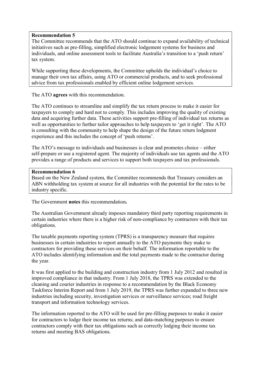### Recommendation 5

The Committee recommends that the ATO should continue to expand availability of technical initiatives such as pre-filling, simplified electronic lodgement systems for business and individuals, and online assessment tools to facilitate Australia's transition to a 'push return' tax system.

While supporting these developments, the Committee upholds the individual's choice to manage their own tax affairs, using ATO or commercial products, and to seek professional advice from tax professionals enabled by efficient online lodgement services.

The ATO **agrees** with this recommendation.

The ATO continues to streamline and simplify the tax return process to make it easier for taxpayers to comply and hard not to comply. This includes improving the quality of existing data and acquiring further data. These activities support pre-filling of individual tax returns as well as opportunities to further tailor approaches to help taxpayers to 'get it right'. The ATO is consulting with the community to help shape the design of the future return lodgment experience and this includes the concept of 'push returns'.

The ATO's message to individuals and businesses is clear and promotes choice – either self-prepare or use a registered agent. The majority of individuals use tax agents and the ATO provides a range of products and services to support both taxpayers and tax professionals.

### Recommendation 6

Based on the New Zealand system, the Committee recommends that Treasury considers an ABN withholding tax system at source for all industries with the potential for the rates to be industry specific.

The Government notes this recommendation.

The Australian Government already imposes mandatory third party reporting requirements in certain industries where there is a higher risk of non-compliance by contractors with their tax obligations.

The taxable payments reporting system (TPRS) is a transparency measure that requires businesses in certain industries to report annually to the ATO payments they make to contractors for providing these services on their behalf. The information reportable to the ATO includes identifying information and the total payments made to the contractor during the year.

It was first applied to the building and construction industry from 1 July 2012 and resulted in improved compliance in that industry. From 1 July 2018, the TPRS was extended to the cleaning and courier industries in response to a recommendation by the Black Economy Taskforce Interim Report and from 1 July 2019, the TPRS was further expanded to three new industries including security, investigation services or surveillance services; road freight transport and information technology services.

The information reported to the ATO will be used for pre-filling purposes to make it easier for contractors to lodge their income tax returns; and data-matching purposes to ensure contractors comply with their tax obligations such as correctly lodging their income tax returns and meeting BAS obligations.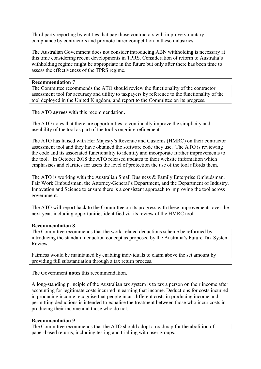Third party reporting by entities that pay those contractors will improve voluntary compliance by contractors and promote fairer competition in these industries.

The Australian Government does not consider introducing ABN withholding is necessary at this time considering recent developments in TPRS. Consideration of reform to Australia's withholding regime might be appropriate in the future but only after there has been time to assess the effectiveness of the TPRS regime.

### Recommendation 7

The Committee recommends the ATO should review the functionality of the contractor assessment tool for accuracy and utility to taxpayers by reference to the functionality of the tool deployed in the United Kingdom, and report to the Committee on its progress.

The ATO agrees with this recommendation.

The ATO notes that there are opportunities to continually improve the simplicity and useability of the tool as part of the tool's ongoing refinement.

The ATO has liaised with Her Majesty's Revenue and Customs (HMRC) on their contractor assessment tool and they have obtained the software code they use. The ATO is reviewing the code and its associated functionality to identify and incorporate further improvements to the tool. .In October 2018 the ATO released updates to their website information which emphasises and clarifies for users the level of protection the use of the tool affords them.

The ATO is working with the Australian Small Business & Family Enterprise Ombudsman, Fair Work Ombudsman, the Attorney-General's Department, and the Department of Industry, Innovation and Science to ensure there is a consistent approach to improving the tool across government.

The ATO will report back to the Committee on its progress with these improvements over the next year, including opportunities identified via its review of the HMRC tool.

### Recommendation 8

The Committee recommends that the work-related deductions scheme be reformed by introducing the standard deduction concept as proposed by the Australia's Future Tax System Review.

Fairness would be maintained by enabling individuals to claim above the set amount by providing full substantiation through a tax return process.

The Government notes this recommendation.

A long-standing principle of the Australian tax system is to tax a person on their income after accounting for legitimate costs incurred in earning that income. Deductions for costs incurred in producing income recognise that people incur different costs in producing income and permitting deductions is intended to equalise the treatment between those who incur costs in producing their income and those who do not.

### Recommendation 9

The Committee recommends that the ATO should adopt a roadmap for the abolition of paper-based returns, including testing and trialling with user groups.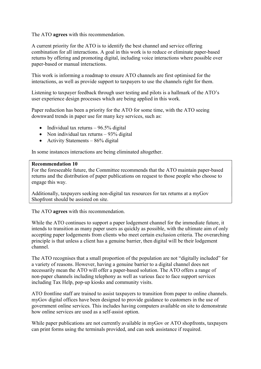The ATO agrees with this recommendation.

A current priority for the ATO is to identify the best channel and service offering combination for all interactions. A goal in this work is to reduce or eliminate paper-based returns by offering and promoting digital, including voice interactions where possible over paper-based or manual interactions.

This work is informing a roadmap to ensure ATO channels are first optimised for the interactions, as well as provide support to taxpayers to use the channels right for them.

Listening to taxpayer feedback through user testing and pilots is a hallmark of the ATO's user experience design processes which are being applied in this work.

Paper reduction has been a priority for the ATO for some time, with the ATO seeing downward trends in paper use for many key services, such as:

- Individual tax returns  $-96.5\%$  digital
- Non individual tax returns  $-93%$  digital
- Activity Statements  $86\%$  digital

In some instances interactions are being eliminated altogether.

#### Recommendation 10

For the foreseeable future, the Committee recommends that the ATO maintain paper-based returns and the distribution of paper publications on request to those people who choose to engage this way.

Additionally, taxpayers seeking non-digital tax resources for tax returns at a myGov Shopfront should be assisted on site.

The ATO agrees with this recommendation.

While the ATO continues to support a paper lodgement channel for the immediate future, it intends to transition as many paper users as quickly as possible, with the ultimate aim of only accepting paper lodgements from clients who meet certain exclusion criteria. The overarching principle is that unless a client has a genuine barrier, then digital will be their lodgement channel.

The ATO recognises that a small proportion of the population are not "digitally included" for a variety of reasons. However, having a genuine barrier to a digital channel does not necessarily mean the ATO will offer a paper-based solution. The ATO offers a range of non-paper channels including telephony as well as various face to face support services including Tax Help, pop-up kiosks and community visits.

ATO frontline staff are trained to assist taxpayers to transition from paper to online channels. myGov digital offices have been designed to provide guidance to customers in the use of government online services. This includes having computers available on site to demonstrate how online services are used as a self-assist option.

While paper publications are not currently available in myGov or ATO shopfronts, taxpayers can print forms using the terminals provided, and can seek assistance if required.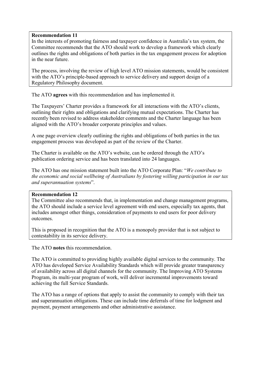### Recommendation 11

In the interests of promoting fairness and taxpayer confidence in Australia's tax system, the Committee recommends that the ATO should work to develop a framework which clearly outlines the rights and obligations of both parties in the tax engagement process for adoption in the near future.

The process, involving the review of high level ATO mission statements, would be consistent with the ATO's principle-based approach to service delivery and support design of a Regulatory Philosophy document.

The ATO agrees with this recommendation and has implemented it.

The Taxpayers' Charter provides a framework for all interactions with the ATO's clients, outlining their rights and obligations and clarifying mutual expectations. The Charter has recently been revised to address stakeholder comments and the Charter language has been aligned with the ATO's broader corporate principles and values.

A one page overview clearly outlining the rights and obligations of both parties in the tax engagement process was developed as part of the review of the Charter.

The Charter is available on the ATO's website, can be ordered through the ATO's publication ordering service and has been translated into 24 languages.

The ATO has one mission statement built into the ATO Corporate Plan: "We contribute to the economic and social wellbeing of Australians by fostering willing participation in our tax and superannuation systems".

### Recommendation 12

The Committee also recommends that, in implementation and change management programs, the ATO should include a service level agreement with end users, especially tax agents, that includes amongst other things, consideration of payments to end users for poor delivery outcomes.

This is proposed in recognition that the ATO is a monopoly provider that is not subject to contestability in its service delivery.

The ATO notes this recommendation.

The ATO is committed to providing highly available digital services to the community. The ATO has developed Service Availability Standards which will provide greater transparency of availability across all digital channels for the community. The Improving ATO Systems Program, its multi-year program of work, will deliver incremental improvements toward achieving the full Service Standards.

The ATO has a range of options that apply to assist the community to comply with their tax and superannuation obligations. These can include time deferrals of time for lodgment and payment, payment arrangements and other administrative assistance.